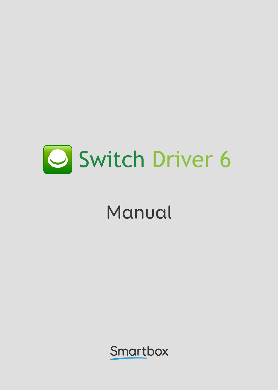

## Manual

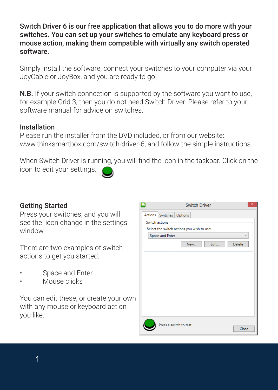Switch Driver 6 is our free application that allows you to do more with your switches. You can set up your switches to emulate any keyboard press or mouse action, making them compatible with virtually any switch operated software.

Simply install the software, connect your switches to your computer via your JoyCable or JoyBox, and you are ready to go!

N.B. If your switch connection is supported by the software you want to use, for example Grid 3, then you do not need Switch Driver. Please refer to your software manual for advice on switches.

## Installation

Please run the installer from the DVD included, or from our website: www.thinksmartbox.com/switch-driver-6, and follow the simple instructions.

When Switch Driver is running, you will find the icon in the taskbar. Click on the icon to edit your settings.

## Getting Started

Press your switches, and you will see the icon change in the settings window.

There are two examples of switch actions to get you started:

- Space and Enter
- Mouse clicks

You can edit these, or create your own with any mouse or keyboard action you like.

|                 |                                            |  | <b>Switch Driver</b> |       |        | × |  |  |  |
|-----------------|--------------------------------------------|--|----------------------|-------|--------|---|--|--|--|
|                 | Actions Switches Options                   |  |                      |       |        |   |  |  |  |
|                 | Switch actions                             |  |                      |       |        |   |  |  |  |
|                 | Select the switch actions you wish to use: |  |                      |       |        |   |  |  |  |
| Space and Enter |                                            |  |                      |       |        |   |  |  |  |
|                 |                                            |  | New                  | Edit  | Delete |   |  |  |  |
|                 |                                            |  |                      |       |        |   |  |  |  |
|                 |                                            |  |                      |       |        |   |  |  |  |
|                 |                                            |  |                      |       |        |   |  |  |  |
|                 |                                            |  |                      |       |        |   |  |  |  |
|                 |                                            |  |                      |       |        |   |  |  |  |
|                 |                                            |  |                      |       |        |   |  |  |  |
|                 |                                            |  |                      |       |        |   |  |  |  |
|                 |                                            |  |                      |       |        |   |  |  |  |
|                 |                                            |  |                      |       |        |   |  |  |  |
|                 |                                            |  |                      |       |        |   |  |  |  |
|                 | Press a switch to test                     |  |                      |       |        |   |  |  |  |
|                 |                                            |  |                      | Close |        |   |  |  |  |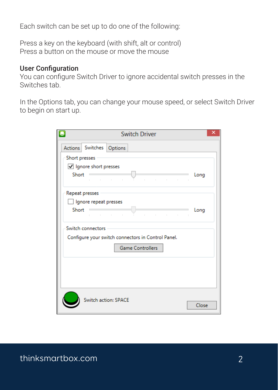Each switch can be set up to do one of the following:

Press a key on the keyboard (with shift, alt or control) Press a button on the mouse or move the mouse

## User Configuration

You can configure Switch Driver to ignore accidental switch presses in the Switches tab.

In the Options tab, you can change your mouse speed, or select Switch Driver to begin on start up.

| ×<br><b>Switch Driver</b>                          |                               |       |  |  |  |  |  |
|----------------------------------------------------|-------------------------------|-------|--|--|--|--|--|
| Actions Switches Options                           |                               |       |  |  |  |  |  |
| Short presses                                      |                               |       |  |  |  |  |  |
| Ignore short presses                               |                               |       |  |  |  |  |  |
| Short<br>and the control of the con-               | the control of the control of | Long  |  |  |  |  |  |
| Repeat presses                                     |                               |       |  |  |  |  |  |
| Ignore repeat presses                              |                               |       |  |  |  |  |  |
| Short                                              |                               | Long  |  |  |  |  |  |
| Switch connectors                                  |                               |       |  |  |  |  |  |
| Configure your switch connectors in Control Panel. |                               |       |  |  |  |  |  |
| <b>Game Controllers</b>                            |                               |       |  |  |  |  |  |
|                                                    |                               |       |  |  |  |  |  |
|                                                    |                               |       |  |  |  |  |  |
|                                                    |                               |       |  |  |  |  |  |
|                                                    |                               |       |  |  |  |  |  |
|                                                    | Switch action: SPACE          | Close |  |  |  |  |  |